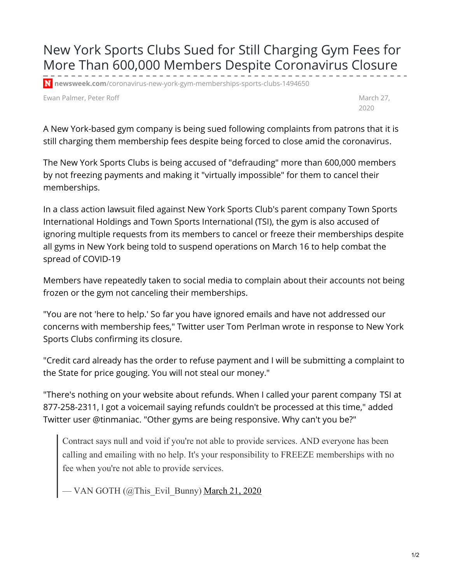## New York Sports Clubs Sued for Still Charging Gym Fees for More Than 600,000 Members Despite Coronavirus Closure

**newsweek.com**[/coronavirus-new-york-gym-memberships-sports-clubs-1494650](https://www.newsweek.com/coronavirus-new-york-gym-memberships-sports-clubs-1494650)

Ewan Palmer, Peter Roff March 27, Andrea March 27, Andrea March 27, Andrea March 27, Andrea March 27, Andrea March 27, Andrea March 27, Andrea March 27, Andrea March 27, Andrea March 27, Andrea March 27, Andrea March 27, A

2020

A New York-based gym company is being sued following complaints from patrons that it is still charging them membership fees despite being forced to close amid the coronavirus.

The New York Sports Clubs is being accused of "defrauding" more than 600,000 members by not freezing payments and making it "virtually impossible" for them to cancel their memberships.

In a class action lawsuit filed against New York Sports Club's parent company Town Sports International Holdings and Town Sports International (TSI), the gym is also accused of ignoring multiple requests from its members to cancel or freeze their memberships despite all gyms in New York being told to suspend operations on March 16 to help combat the spread of COVID-19

Members have repeatedly taken to social media to complain about their accounts not being frozen or the gym not canceling their memberships.

"You are not 'here to help.' So far you have ignored emails and have not addressed our concerns with membership fees," Twitter user Tom Perlman wrote in response to New York Sports Clubs confirming its closure.

"Credit card already has the order to refuse payment and I will be submitting a complaint to the State for price gouging. You will not steal our money."

"There's nothing on your website about refunds. When I called your parent company TSI at 877-258-2311, I got a voicemail saying refunds couldn't be processed at this time," added Twitter user @tinmaniac. "Other gyms are being responsive. Why can't you be?"

Contract says null and void if you're not able to provide services. AND everyone has been calling and emailing with no help. It's your responsibility to FREEZE memberships with no fee when you're not able to provide services.

- VAN GOTH  $(Q)$ This Evil Bunny) [March](https://twitter.com/This_Evil_Bunny/status/1241353783306792965?ref_src=twsrc%5Etfw) 21, 2020